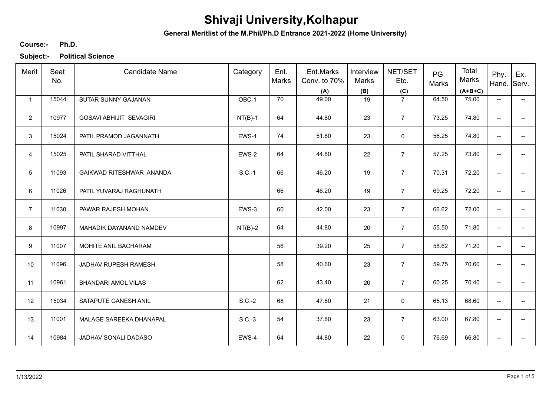**General Meritlist of the M.Phil/Ph.D Entrance 2021-2022 (Home University)**

### **Ph.D. Course:-**

| Merit           | Seat<br>No. | <b>Candidate Name</b>          | Category  | Ent.<br>Marks | Ent.Marks<br>Conv. to 70%<br>(A) | Interview<br>Marks<br>(B) | NET/SET<br>Etc.<br>(C) | PG<br>Marks | Total<br>Marks<br>$(A+B+C)$ | Phy.<br>Hand. Serv.      | Ex.                      |
|-----------------|-------------|--------------------------------|-----------|---------------|----------------------------------|---------------------------|------------------------|-------------|-----------------------------|--------------------------|--------------------------|
| $\mathbf{1}$    | 15044       | SUTAR SUNNY GAJANAN            | OBC-1     | 70            | 49.00                            | 19                        | $\overline{7}$         | 64.50       | 75.00                       | $\overline{\phantom{a}}$ | $\overline{\phantom{a}}$ |
| $\overline{2}$  | 10977       | <b>GOSAVI ABHIJIT SEVAGIRI</b> | $NT(B)-1$ | 64            | 44.80                            | 23                        | $\overline{7}$         | 73.25       | 74.80                       | $\overline{\phantom{a}}$ | $-$                      |
| 3               | 15024       | PATIL PRAMOD JAGANNATH         | EWS-1     | 74            | 51.80                            | 23                        | 0                      | 56.25       | 74.80                       | $\overline{\phantom{a}}$ | $- -$                    |
| $\overline{4}$  | 15025       | PATIL SHARAD VITTHAL           | EWS-2     | 64            | 44.80                            | 22                        | $\overline{7}$         | 57.25       | 73.80                       | $\overline{\phantom{a}}$ | -−                       |
| $5\phantom{.0}$ | 11093       | GAIKWAD RITESHWAR ANANDA       | $S.C.-1$  | 66            | 46.20                            | 19                        | $\overline{7}$         | 70.31       | 72.20                       | $\overline{\phantom{a}}$ | --                       |
| 6               | 11026       | PATIL YUVARAJ RAGHUNATH        |           | 66            | 46.20                            | 19                        | $\overline{7}$         | 69.25       | 72.20                       | $\overline{a}$           | ÷                        |
| $\overline{7}$  | 11030       | PAWAR RAJESH MOHAN             | EWS-3     | 60            | 42.00                            | 23                        | $\overline{7}$         | 66.62       | 72.00                       | $\overline{\phantom{a}}$ | --                       |
| 8               | 10997       | MAHADIK DAYANAND NAMDEV        | $NT(B)-2$ | 64            | 44.80                            | 20                        | $\overline{7}$         | 55.50       | 71.80                       | $\overline{\phantom{a}}$ | --                       |
| 9               | 11007       | MOHITE ANIL BACHARAM           |           | 56            | 39.20                            | 25                        | $\overline{7}$         | 58.62       | 71.20                       | $\overline{\phantom{a}}$ | --                       |
| 10              | 11096       | JADHAV RUPESH RAMESH           |           | 58            | 40.60                            | 23                        | $\overline{7}$         | 59.75       | 70.60                       | $\overline{\phantom{a}}$ | $\overline{a}$           |
| 11              | 10961       | <b>BHANDARI AMOL VILAS</b>     |           | 62            | 43.40                            | 20                        | $\overline{7}$         | 60.25       | 70.40                       | $\overline{\phantom{a}}$ | --                       |
| 12              | 15034       | SATAPUTE GANESH ANIL           | $S.C.-2$  | 68            | 47.60                            | 21                        | $\mathbf 0$            | 65.13       | 68.60                       | $\overline{\phantom{a}}$ | --                       |
| 13              | 11001       | MALAGE SAREEKA DHANAPAL        | $S.C.-3$  | 54            | 37.80                            | 23                        | $\overline{7}$         | 63.00       | 67.80                       | $\overline{\phantom{a}}$ | -−                       |
| 14              | 10984       | JADHAV SONALI DADASO           | EWS-4     | 64            | 44.80                            | 22                        | 0                      | 76.69       | 66.80                       | --                       | --                       |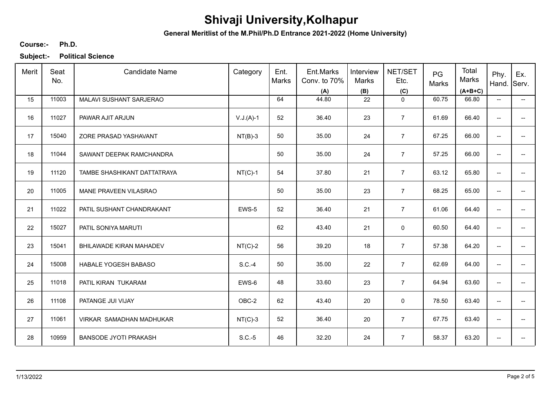**General Meritlist of the M.Phil/Ph.D Entrance 2021-2022 (Home University)**

### **Ph.D. Course:-**

| Merit | Seat<br>No. | <b>Candidate Name</b>        | Category    | Ent.<br>Marks | Ent.Marks<br>Conv. to 70%<br>(A) | Interview<br>Marks<br>(B) | NET/SET<br>Etc.<br>(C) | PG<br>Marks | Total<br>Marks<br>$(A+B+C)$ | Phy.<br>Hand. Serv.      | Ex.                      |
|-------|-------------|------------------------------|-------------|---------------|----------------------------------|---------------------------|------------------------|-------------|-----------------------------|--------------------------|--------------------------|
| 15    | 11003       | MALAVI SUSHANT SARJERAO      |             | 64            | 44.80                            | 22                        | $\mathbf 0$            | 60.75       | 66.80                       | $\overline{\phantom{a}}$ | $\overline{\phantom{a}}$ |
| 16    | 11027       | PAWAR AJIT ARJUN             | $V.J.(A)-1$ | 52            | 36.40                            | 23                        | $\overline{7}$         | 61.69       | 66.40                       | $\overline{\phantom{a}}$ |                          |
| 17    | 15040       | ZORE PRASAD YASHAVANT        | $NT(B)-3$   | 50            | 35.00                            | 24                        | $\overline{7}$         | 67.25       | 66.00                       | $\overline{\phantom{a}}$ | $- -$                    |
| 18    | 11044       | SAWANT DEEPAK RAMCHANDRA     |             | 50            | 35.00                            | 24                        | $\overline{7}$         | 57.25       | 66.00                       | $\overline{\phantom{a}}$ | $\overline{\phantom{0}}$ |
| 19    | 11120       | TAMBE SHASHIKANT DATTATRAYA  | $NT(C)-1$   | 54            | 37.80                            | 21                        | $\overline{7}$         | 63.12       | 65.80                       | $\overline{\phantom{a}}$ | --                       |
| 20    | 11005       | MANE PRAVEEN VILASRAO        |             | 50            | 35.00                            | 23                        | $\overline{7}$         | 68.25       | 65.00                       | $\overline{\phantom{a}}$ | --                       |
| 21    | 11022       | PATIL SUSHANT CHANDRAKANT    | EWS-5       | 52            | 36.40                            | 21                        | $\overline{7}$         | 61.06       | 64.40                       | $\overline{\phantom{a}}$ | --                       |
| 22    | 15027       | PATIL SONIYA MARUTI          |             | 62            | 43.40                            | 21                        | 0                      | 60.50       | 64.40                       | $\overline{\phantom{a}}$ | -−                       |
| 23    | 15041       | BHILAWADE KIRAN MAHADEV      | $NT(C)-2$   | 56            | 39.20                            | 18                        | $\overline{7}$         | 57.38       | 64.20                       | $\overline{\phantom{a}}$ |                          |
| 24    | 15008       | HABALE YOGESH BABASO         | $S.C.-4$    | 50            | 35.00                            | 22                        | $\overline{7}$         | 62.69       | 64.00                       | $\overline{\phantom{a}}$ | --                       |
| 25    | 11018       | PATIL KIRAN TUKARAM          | EWS-6       | 48            | 33.60                            | 23                        | $\overline{7}$         | 64.94       | 63.60                       | $\overline{\phantom{a}}$ | -−                       |
| 26    | 11108       | PATANGE JUI VIJAY            | OBC-2       | 62            | 43.40                            | 20                        | 0                      | 78.50       | 63.40                       | $\overline{\phantom{a}}$ | $-$                      |
| 27    | 11061       | VIRKAR SAMADHAN MADHUKAR     | $NT(C)-3$   | 52            | 36.40                            | 20                        | $\overline{7}$         | 67.75       | 63.40                       | $\overline{\phantom{a}}$ | --                       |
| 28    | 10959       | <b>BANSODE JYOTI PRAKASH</b> | $S.C.-5$    | 46            | 32.20                            | 24                        | $\overline{7}$         | 58.37       | 63.20                       | --                       | --                       |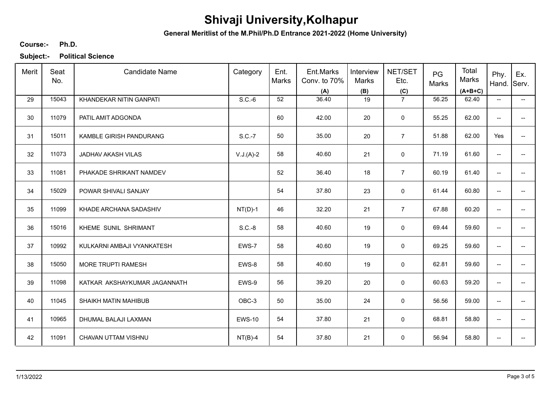**General Meritlist of the M.Phil/Ph.D Entrance 2021-2022 (Home University)**

### **Ph.D. Course:-**

| Merit | Seat<br>No. | <b>Candidate Name</b>        | Category      | Ent.<br>Marks | Ent.Marks<br>Conv. to 70%<br>(A) | Interview<br>Marks<br>(B) | NET/SET<br>Etc.<br>(C) | PG<br>Marks | Total<br>Marks<br>$(A+B+C)$ | Phy.<br>Hand.            | Ex.<br>Serv.             |
|-------|-------------|------------------------------|---------------|---------------|----------------------------------|---------------------------|------------------------|-------------|-----------------------------|--------------------------|--------------------------|
| 29    | 15043       | KHANDEKAR NITIN GANPATI      | $S.C.-6$      | 52            | 36.40                            | 19                        | $\overline{7}$         | 56.25       | 62.40                       | $\overline{\phantom{a}}$ | $\overline{\phantom{a}}$ |
| 30    | 11079       | PATIL AMIT ADGONDA           |               | 60            | 42.00                            | 20                        | $\mathbf 0$            | 55.25       | 62.00                       | $\overline{\phantom{a}}$ | $\qquad \qquad -$        |
| 31    | 15011       | KAMBLE GIRISH PANDURANG      | S.C.-7        | 50            | 35.00                            | 20                        | $\overline{7}$         | 51.88       | 62.00                       | Yes                      | $\overline{a}$           |
| 32    | 11073       | JADHAV AKASH VILAS           | $V.J.(A)-2$   | 58            | 40.60                            | 21                        | $\mathbf 0$            | 71.19       | 61.60                       | $\overline{\phantom{a}}$ | $\overline{\phantom{a}}$ |
| 33    | 11081       | PHAKADE SHRIKANT NAMDEV      |               | 52            | 36.40                            | 18                        | $\overline{7}$         | 60.19       | 61.40                       | $\overline{\phantom{a}}$ | --                       |
| 34    | 15029       | POWAR SHIVALI SANJAY         |               | 54            | 37.80                            | 23                        | $\mathbf 0$            | 61.44       | 60.80                       | $\overline{\phantom{a}}$ | $\overline{\phantom{a}}$ |
| 35    | 11099       | KHADE ARCHANA SADASHIV       | $NT(D)-1$     | 46            | 32.20                            | 21                        | $\overline{7}$         | 67.88       | 60.20                       | $\overline{\phantom{a}}$ |                          |
| 36    | 15016       | KHEME SUNIL SHRIMANT         | $S.C.-8$      | 58            | 40.60                            | 19                        | 0                      | 69.44       | 59.60                       | $\overline{\phantom{a}}$ |                          |
| 37    | 10992       | KULKARNI AMBAJI VYANKATESH   | EWS-7         | 58            | 40.60                            | 19                        | 0                      | 69.25       | 59.60                       | --                       |                          |
| 38    | 15050       | MORE TRUPTI RAMESH           | EWS-8         | 58            | 40.60                            | 19                        | $\mathbf 0$            | 62.81       | 59.60                       | $\overline{\phantom{a}}$ | $\qquad \qquad -$        |
| 39    | 11098       | KATKAR AKSHAYKUMAR JAGANNATH | EWS-9         | 56            | 39.20                            | 20                        | $\mathbf 0$            | 60.63       | 59.20                       | $\overline{\phantom{a}}$ | --                       |
| 40    | 11045       | SHAIKH MATIN MAHIBUB         | OBC-3         | 50            | 35.00                            | 24                        | 0                      | 56.56       | 59.00                       | $\overline{\phantom{a}}$ | $\overline{\phantom{a}}$ |
| 41    | 10965       | DHUMAL BALAJI LAXMAN         | <b>EWS-10</b> | 54            | 37.80                            | 21                        | 0                      | 68.81       | 58.80                       | --                       | $\overline{\phantom{a}}$ |
| 42    | 11091       | CHAVAN UTTAM VISHNU          | $NT(B)-4$     | 54            | 37.80                            | 21                        | 0                      | 56.94       | 58.80                       | --                       |                          |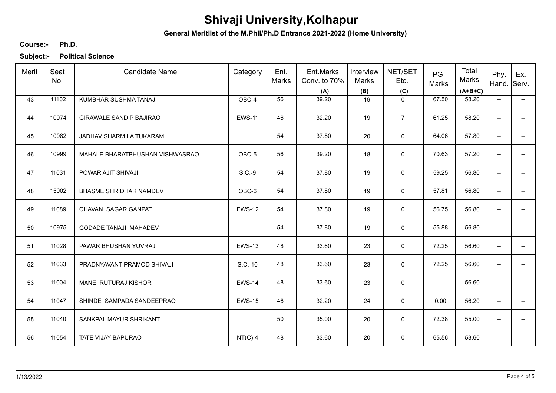**General Meritlist of the M.Phil/Ph.D Entrance 2021-2022 (Home University)**

### **Ph.D. Course:-**

| Merit | Seat<br>No. | <b>Candidate Name</b>           | Category      | Ent.<br>Marks | Ent.Marks<br>Conv. to 70%<br>(A) | Interview<br>Marks<br>(B) | NET/SET<br>Etc.<br>(C) | PG<br>Marks | Total<br>Marks<br>$(A+B+C)$ | Phy.<br>Hand.            | Ex.<br>Serv.             |
|-------|-------------|---------------------------------|---------------|---------------|----------------------------------|---------------------------|------------------------|-------------|-----------------------------|--------------------------|--------------------------|
| 43    | 11102       | KUMBHAR SUSHMA TANAJI           | OBC-4         | 56            | 39.20                            | 19                        | $\mathbf 0$            | 67.50       | 58.20                       | $\overline{\phantom{a}}$ | $\overline{\phantom{a}}$ |
| 44    | 10974       | <b>GIRAWALE SANDIP BAJIRAO</b>  | <b>EWS-11</b> | 46            | 32.20                            | 19                        | $\overline{7}$         | 61.25       | 58.20                       | $\overline{\phantom{a}}$ | $\qquad \qquad -$        |
| 45    | 10982       | JADHAV SHARMILA TUKARAM         |               | 54            | 37.80                            | 20                        | 0                      | 64.06       | 57.80                       | $\overline{a}$           | $\overline{a}$           |
| 46    | 10999       | MAHALE BHARATBHUSHAN VISHWASRAO | OBC-5         | 56            | 39.20                            | 18                        | $\mathbf 0$            | 70.63       | 57.20                       | $\overline{\phantom{a}}$ | $\overline{a}$           |
| 47    | 11031       | POWAR AJIT SHIVAJI              | $S.C.-9$      | 54            | 37.80                            | 19                        | 0                      | 59.25       | 56.80                       | $\overline{\phantom{a}}$ | --                       |
| 48    | 15002       | <b>BHASME SHRIDHAR NAMDEV</b>   | OBC-6         | 54            | 37.80                            | 19                        | $\mathbf 0$            | 57.81       | 56.80                       | $\overline{\phantom{a}}$ | $\overline{\phantom{a}}$ |
| 49    | 11089       | CHAVAN SAGAR GANPAT             | <b>EWS-12</b> | 54            | 37.80                            | 19                        | 0                      | 56.75       | 56.80                       | $\overline{\phantom{a}}$ |                          |
| 50    | 10975       | <b>GODADE TANAJI MAHADEV</b>    |               | 54            | 37.80                            | 19                        | 0                      | 55.88       | 56.80                       | $\overline{\phantom{a}}$ |                          |
| 51    | 11028       | PAWAR BHUSHAN YUVRAJ            | <b>EWS-13</b> | 48            | 33.60                            | 23                        | 0                      | 72.25       | 56.60                       | --                       |                          |
| 52    | 11033       | PRADNYAVANT PRAMOD SHIVAJI      | $S.C.-10$     | 48            | 33.60                            | 23                        | $\mathbf 0$            | 72.25       | 56.60                       | $\overline{\phantom{a}}$ | $-$                      |
| 53    | 11004       | MANE RUTURAJ KISHOR             | <b>EWS-14</b> | 48            | 33.60                            | 23                        | $\mathsf 0$            |             | 56.60                       | $\overline{\phantom{a}}$ | --                       |
| 54    | 11047       | SHINDE SAMPADA SANDEEPRAO       | <b>EWS-15</b> | 46            | 32.20                            | 24                        | 0                      | 0.00        | 56.20                       | $\overline{\phantom{a}}$ | $\overline{\phantom{a}}$ |
| 55    | 11040       | SANKPAL MAYUR SHRIKANT          |               | 50            | 35.00                            | 20                        | 0                      | 72.38       | 55.00                       | $\overline{\phantom{a}}$ | $\overline{\phantom{a}}$ |
| 56    | 11054       | TATE VIJAY BAPURAO              | $NT(C)-4$     | 48            | 33.60                            | 20                        | 0                      | 65.56       | 53.60                       | --                       |                          |